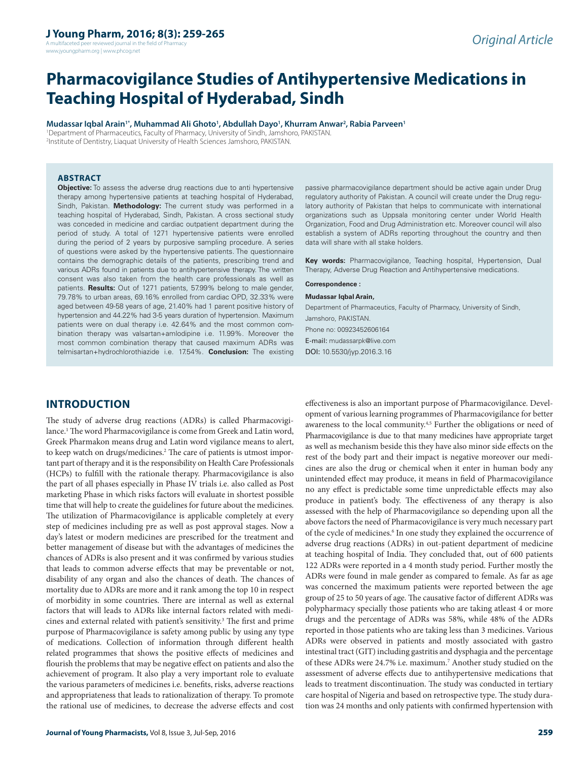A multifaceted peer reviewed journal in the field of Pharm www.jyoungpharm.org | www.phcog.net

# **Pharmacovigilance Studies of Antihypertensive Medications in Teaching Hospital of Hyderabad, Sindh**

**Mudassar Iqbal Arain1\*, Muhammad Ali Ghoto1 , Abdullah Dayo1 , Khurram Anwar2 , Rabia Parveen1** 1 Department of Pharmaceutics, Faculty of Pharmacy, University of Sindh, Jamshoro, PAKISTAN. 2 Institute of Dentistry, Liaquat University of Health Sciences Jamshoro, PAKISTAN.

**ABSTRACT**

**Objective:** To assess the adverse drug reactions due to anti hypertensive therapy among hypertensive patients at teaching hospital of Hyderabad, Sindh, Pakistan. **Methodology:** The current study was performed in a teaching hospital of Hyderabad, Sindh, Pakistan. A cross sectional study was conceded in medicine and cardiac outpatient department during the period of study. A total of 1271 hypertensive patients were enrolled during the period of 2 years by purposive sampling procedure. A series of questions were asked by the hypertensive patients. The questionnaire contains the demographic details of the patients, prescribing trend and various ADRs found in patients due to antihypertensive therapy. The written consent was also taken from the health care professionals as well as patients. **Results:** Out of 1271 patients, 57.99% belong to male gender, 79.78% to urban areas, 69.16% enrolled from cardiac OPD, 32.33% were aged between 49-58 years of age, 21.40% had 1 parent positive history of hypertension and 44.22% had 3-5 years duration of hypertension. Maximum patients were on dual therapy i.e. 42.64% and the most common combination therapy was valsartan+amlodipine i.e. 11.99%. Moreover the most common combination therapy that caused maximum ADRs was telmisartan+hydrochlorothiazide i.e. 17.54%. **Conclusion:** The existing

passive pharmacovigilance department should be active again under Drug regulatory authority of Pakistan. A council will create under the Drug regulatory authority of Pakistan that helps to communicate with international organizations such as Uppsala monitoring center under World Health Organization, Food and Drug Administration etc. Moreover council will also establish a system of ADRs reporting throughout the country and then data will share with all stake holders.

**Key words:** Pharmacovigilance, Teaching hospital, Hypertension, Dual Therapy, Adverse Drug Reaction and Antihypertensive medications.

**Correspondence :**

#### **Mudassar Iqbal Arain,**

Department of Pharmaceutics, Faculty of Pharmacy, University of Sindh, Jamshoro, PAKISTAN. Phone no: 00923452606164 E-mail: mudassarpk@live.com DOI: 10.5530/jyp.2016.3.16

effectiveness is also an important purpose of Pharmacovigilance. Development of various learning programmes of Pharmacovigilance for better

## **INTRODUCTION**

The study of adverse drug reactions (ADRs) is called Pharmacovigilance.1 The word Pharmacovigilance is come from Greek and Latin word, Greek Pharmakon means drug and Latin word vigilance means to alert, to keep watch on drugs/medicines.<sup>2</sup> The care of patients is utmost important part of therapy and it is the responsibility on Health Care Professionals (HCPs) to fulfill with the rationale therapy. Pharmacovigilance is also the part of all phases especially in Phase IV trials i.e. also called as Post marketing Phase in which risks factors will evaluate in shortest possible time that will help to create the guidelines for future about the medicines. The utilization of Pharmacovigilance is applicable completely at every step of medicines including pre as well as post approval stages. Now a day's latest or modern medicines are prescribed for the treatment and better management of disease but with the advantages of medicines the chances of ADRs is also present and it was confirmed by various studies that leads to common adverse effects that may be preventable or not, disability of any organ and also the chances of death. The chances of mortality due to ADRs are more and it rank among the top 10 in respect of morbidity in some countries. There are internal as well as external factors that will leads to ADRs like internal factors related with medicines and external related with patient's sensitivity.<sup>3</sup> The first and prime purpose of Pharmacovigilance is safety among public by using any type of medications. Collection of information through different health related programmes that shows the positive effects of medicines and flourish the problems that may be negative effect on patients and also the achievement of program. It also play a very important role to evaluate the various parameters of medicines i.e. benefits, risks, adverse reactions and appropriateness that leads to rationalization of therapy. To promote the rational use of medicines, to decrease the adverse effects and cost

awareness to the local community.<sup>4,5</sup> Further the obligations or need of Pharmacovigilance is due to that many medicines have appropriate target as well as mechanism beside this they have also minor side effects on the rest of the body part and their impact is negative moreover our medicines are also the drug or chemical when it enter in human body any unintended effect may produce, it means in field of Pharmacovigilance no any effect is predictable some time unpredictable effects may also produce in patient's body. The effectiveness of any therapy is also assessed with the help of Pharmacovigilance so depending upon all the above factors the need of Pharmacovigilance is very much necessary part of the cycle of medicines.<sup>6</sup> In one study they explained the occurrence of adverse drug reactions (ADRs) in out-patient department of medicine at teaching hospital of India. They concluded that, out of 600 patients 122 ADRs were reported in a 4 month study period. Further mostly the ADRs were found in male gender as compared to female. As far as age was concerned the maximum patients were reported between the age group of 25 to 50 years of age. The causative factor of different ADRs was polypharmacy specially those patients who are taking atleast 4 or more drugs and the percentage of ADRs was 58%, while 48% of the ADRs reported in those patients who are taking less than 3 medicines. Various ADRs were observed in patients and mostly associated with gastro intestinal tract (GIT) including gastritis and dysphagia and the percentage of these ADRs were 24.7% i.e. maximum.<sup>7</sup> Another study studied on the assessment of adverse effects due to antihypertensive medications that leads to treatment discontinuation. The study was conducted in tertiary care hospital of Nigeria and based on retrospective type. The study duration was 24 months and only patients with confirmed hypertension with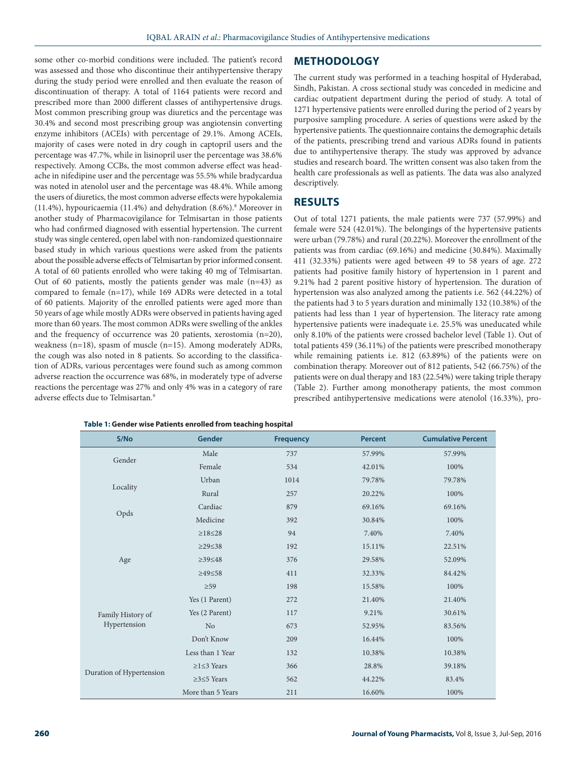some other co-morbid conditions were included. The patient's record was assessed and those who discontinue their antihypertensive therapy during the study period were enrolled and then evaluate the reason of discontinuation of therapy. A total of 1164 patients were record and prescribed more than 2000 different classes of antihypertensive drugs. Most common prescribing group was diuretics and the percentage was 30.4% and second most prescribing group was angiotensin converting enzyme inhibitors (ACEIs) with percentage of 29.1%. Among ACEIs, majority of cases were noted in dry cough in captopril users and the percentage was 47.7%, while in lisinopril user the percentage was 38.6% respectively. Among CCBs, the most common adverse effect was headache in nifedipine user and the percentage was 55.5% while bradycardua was noted in atenolol user and the percentage was 48.4%. While among the users of diuretics, the most common adverse effects were hypokalemia (11.4%), hypouricaemia (11.4%) and dehydration (8.6%).8 Moreover in another study of Pharmacovigilance for Telmisartan in those patients who had confirmed diagnosed with essential hypertension. The current study was single centered, open label with non-randomized questionnaire based study in which various questions were asked from the patients about the possible adverse effects of Telmisartan by prior informed consent. A total of 60 patients enrolled who were taking 40 mg of Telmisartan. Out of 60 patients, mostly the patients gender was male  $(n=43)$  as compared to female (n=17), while 169 ADRs were detected in a total of 60 patients. Majority of the enrolled patients were aged more than 50 years of age while mostly ADRs were observed in patients having aged more than 60 years. The most common ADRs were swelling of the ankles and the frequency of occurrence was 20 patients, xerostomia (n=20), weakness (n=18), spasm of muscle (n=15). Among moderately ADRs, the cough was also noted in 8 patients. So according to the classification of ADRs, various percentages were found such as among common adverse reaction the occurrence was 68%, in moderately type of adverse reactions the percentage was 27% and only 4% was in a category of rare adverse effects due to Telmisartan.9

#### **Table 1: Gender wise Patients enrolled from teaching hospital**

## **METHODOLOGY**

The current study was performed in a teaching hospital of Hyderabad, Sindh, Pakistan. A cross sectional study was conceded in medicine and cardiac outpatient department during the period of study. A total of 1271 hypertensive patients were enrolled during the period of 2 years by purposive sampling procedure. A series of questions were asked by the hypertensive patients. The questionnaire contains the demographic details of the patients, prescribing trend and various ADRs found in patients due to antihypertensive therapy. The study was approved by advance studies and research board. The written consent was also taken from the health care professionals as well as patients. The data was also analyzed descriptively.

## **RESULTS**

Out of total 1271 patients, the male patients were 737 (57.99%) and female were 524 (42.01%). The belongings of the hypertensive patients were urban (79.78%) and rural (20.22%). Moreover the enrollment of the patients was from cardiac (69.16%) and medicine (30.84%). Maximally 411 (32.33%) patients were aged between 49 to 58 years of age. 272 patients had positive family history of hypertension in 1 parent and 9.21% had 2 parent positive history of hypertension. The duration of hypertension was also analyzed among the patients i.e. 562 (44.22%) of the patients had 3 to 5 years duration and minimally 132 (10.38%) of the patients had less than 1 year of hypertension. The literacy rate among hypertensive patients were inadequate i.e. 25.5% was uneducated while only 8.10% of the patients were crossed bachelor level (Table 1). Out of total patients 459 (36.11%) of the patients were prescribed monotherapy while remaining patients i.e. 812 (63.89%) of the patients were on combination therapy. Moreover out of 812 patients, 542 (66.75%) of the patients were on dual therapy and 183 (22.54%) were taking triple therapy (Table 2). Further among monotherapy patients, the most common prescribed antihypertensive medications were atenolol (16.33%), pro-

| S/No                     | Gender              | <b>Frequency</b> | <b>Percent</b> | <b>Cumulative Percent</b> |
|--------------------------|---------------------|------------------|----------------|---------------------------|
| Gender                   | Male                | 737              | 57.99%         | 57.99%                    |
|                          | Female              | 534              | 42.01%         | 100%                      |
| Locality                 | Urban               | 1014             | 79.78%         | 79.78%                    |
|                          | Rural               | 257              | 20.22%         | 100%                      |
|                          | Cardiac             | 879              | 69.16%         | 69.16%                    |
| Opds                     | Medicine            | 392              | 30.84%         | 100%                      |
|                          | $\geq$ 18 $\leq$ 28 | 94               | 7.40%          | 7.40%                     |
|                          | $\geq$ 29 $\leq$ 38 | 192              | 15.11%         | 22.51%                    |
| Age                      | $\geq$ 39 $\leq$ 48 | 376              | 29.58%         | 52.09%                    |
|                          | $≥49≤58$            | 411              | 32.33%         | 84.42%                    |
|                          | $\geq 59$           | 198              | 15.58%         | 100%                      |
|                          | Yes (1 Parent)      | 272              | 21.40%         | 21.40%                    |
| Family History of        | Yes (2 Parent)      | 117              | 9.21%          | 30.61%                    |
| Hypertension             | N <sub>o</sub>      | 673              | 52.95%         | 83.56%                    |
|                          | Don't Know          | 209              | 16.44%         | 100%                      |
| Duration of Hypertension | Less than 1 Year    | 132              | 10.38%         | 10.38%                    |
|                          | $≥1≤3$ Years        | 366              | 28.8%          | 39.18%                    |
|                          | $≥3≤5$ Years        | 562              | 44.22%         | 83.4%                     |
|                          | More than 5 Years   | 211              | 16.60%         | 100%                      |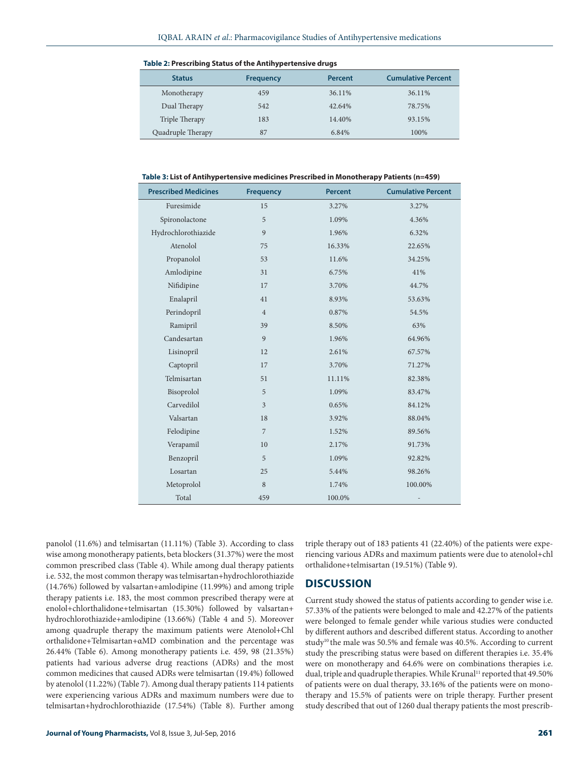| <b>Status</b>     | <b>Frequency</b> | <b>Percent</b> | <b>Cumulative Percent</b> |
|-------------------|------------------|----------------|---------------------------|
| Monotherapy       | 459              | 36.11%         | 36.11%                    |
| Dual Therapy      | 542              | 42.64%         | 78.75%                    |
| Triple Therapy    | 183              | 14.40%         | 93.15%                    |
| Quadruple Therapy | 87               | 6.84%          | 100%                      |

**Table 2: Prescribing Status of the Antihypertensive drugs**

**Table 3: List of Antihypertensive medicines Prescribed in Monotherapy Patients (n=459)**

| <b>Prescribed Medicines</b> | <b>Frequency</b> | <b>Percent</b> | <b>Cumulative Percent</b> |
|-----------------------------|------------------|----------------|---------------------------|
| Furesimide                  | 15               | 3.27%          | 3.27%                     |
| Spironolactone              | 5                | 1.09%          | 4.36%                     |
| Hydrochlorothiazide         | 9                | 1.96%          | 6.32%                     |
| Atenolol                    | 75               | 16.33%         | 22.65%                    |
| Propanolol                  | 53               | 11.6%          | 34.25%                    |
| Amlodipine                  | 31               | 6.75%          | 41%                       |
| Nifidipine                  | 17               | 3.70%          | 44.7%                     |
| Enalapril                   | 41               | 8.93%          | 53.63%                    |
| Perindopril                 | $\overline{4}$   | 0.87%          | 54.5%                     |
| Ramipril                    | 39               | 8.50%          | 63%                       |
| Candesartan                 | 9                | 1.96%          | 64.96%                    |
| Lisinopril                  | 12               | 2.61%          | 67.57%                    |
| Captopril                   | 17               | 3.70%          | 71.27%                    |
| Telmisartan                 | 51               | 11.11%         | 82.38%                    |
| Bisoprolol                  | 5                | 1.09%          | 83.47%                    |
| Carvedilol                  | $\overline{3}$   | 0.65%          | 84.12%                    |
| Valsartan                   | 18               | 3.92%          | 88.04%                    |
| Felodipine                  | $\overline{7}$   | 1.52%          | 89.56%                    |
| Verapamil                   | 10               | 2.17%          | 91.73%                    |
| Benzopril                   | 5                | 1.09%          | 92.82%                    |
| Losartan                    | 25               | 5.44%          | 98.26%                    |
| Metoprolol                  | $\,8\,$          | 1.74%          | 100.00%                   |
| Total                       | 459              | 100.0%         |                           |

panolol (11.6%) and telmisartan (11.11%) (Table 3). According to class wise among monotherapy patients, beta blockers (31.37%) were the most common prescribed class (Table 4). While among dual therapy patients i.e. 532, the most common therapy was telmisartan+hydrochlorothiazide (14.76%) followed by valsartan+amlodipine (11.99%) and among triple therapy patients i.e. 183, the most common prescribed therapy were at enolol+chlorthalidone+telmisartan (15.30%) followed by valsartan+ hydrochlorothiazide+amlodipine (13.66%) (Table 4 and 5). Moreover among quadruple therapy the maximum patients were Atenolol+Chl orthalidone+Telmisartan+αMD combination and the percentage was 26.44% (Table 6). Among monotherapy patients i.e. 459, 98 (21.35%) patients had various adverse drug reactions (ADRs) and the most common medicines that caused ADRs were telmisartan (19.4%) followed by atenolol (11.22%) (Table 7). Among dual therapy patients 114 patients were experiencing various ADRs and maximum numbers were due to telmisartan+hydrochlorothiazide (17.54%) (Table 8). Further among

triple therapy out of 183 patients 41 (22.40%) of the patients were experiencing various ADRs and maximum patients were due to atenolol+chl orthalidone+telmisartan (19.51%) (Table 9).

# **DISCUSSION**

Current study showed the status of patients according to gender wise i.e. 57.33% of the patients were belonged to male and 42.27% of the patients were belonged to female gender while various studies were conducted by different authors and described different status. According to another study<sup>10</sup> the male was 50.5% and female was 40.5%. According to current study the prescribing status were based on different therapies i.e. 35.4% were on monotherapy and 64.6% were on combinations therapies i.e. dual, triple and quadruple therapies. While Krunal<sup>11</sup> reported that 49.50% of patients were on dual therapy, 33.16% of the patients were on monotherapy and 15.5% of patients were on triple therapy. Further present study described that out of 1260 dual therapy patients the most prescrib-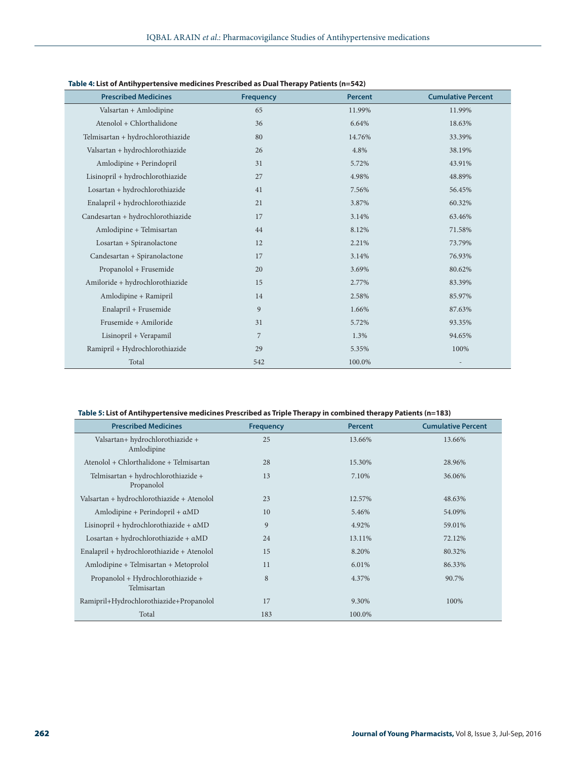| <b>Prescribed Medicines</b>       | <b>Frequency</b> | <b>Percent</b> | <b>Cumulative Percent</b> |
|-----------------------------------|------------------|----------------|---------------------------|
| Valsartan + Amlodipine            | 65               | 11.99%         | 11.99%                    |
| Atenolol + Chlorthalidone         | 36               | 6.64%          | 18.63%                    |
| Telmisartan + hydrochlorothiazide | 80               | 14.76%         | 33.39%                    |
| Valsartan + hydrochlorothiazide   | 26               | 4.8%           | 38.19%                    |
| Amlodipine + Perindopril          | 31               | 5.72%          | 43.91%                    |
| Lisinopril + hydrochlorothiazide  | 27               | 4.98%          | 48.89%                    |
| Losartan + hydrochlorothiazide    | 41               | 7.56%          | 56.45%                    |
| Enalapril + hydrochlorothiazide   | 21               | 3.87%          | 60.32%                    |
| Candesartan + hydrochlorothiazide | 17               | 3.14%          | 63.46%                    |
| Amlodipine + Telmisartan          | 44               | 8.12%          | 71.58%                    |
| Losartan + Spiranolactone         | 12               | 2.21%          | 73.79%                    |
| Candesartan + Spiranolactone      | 17               | 3.14%          | 76.93%                    |
| Propanolol + Frusemide            | 20               | 3.69%          | 80.62%                    |
| Amiloride + hydrochlorothiazide   | 15               | 2.77%          | 83.39%                    |
| Amlodipine + Ramipril             | 14               | 2.58%          | 85.97%                    |
| Enalapril + Frusemide             | 9                | 1.66%          | 87.63%                    |
| Frusemide + Amiloride             | 31               | 5.72%          | 93.35%                    |
| Lisinopril + Verapamil            | 7                | 1.3%           | 94.65%                    |
| Ramipril + Hydrochlorothiazide    | 29               | 5.35%          | 100%                      |
| Total                             | 542              | 100.0%         |                           |

### **Table 4: List of Antihypertensive medicines Prescribed as Dual Therapy Patients (n=542)**

#### **Table 5: List of Antihypertensive medicines Prescribed as Triple Therapy in combined therapy Patients (n=183)**

| <b>Prescribed Medicines</b>                       | <b>Frequency</b> | <b>Percent</b> | <b>Cumulative Percent</b> |
|---------------------------------------------------|------------------|----------------|---------------------------|
| Valsartan+ hydrochlorothiazide +<br>Amlodipine    | 25               | 13.66%         | 13.66%                    |
| Atenolol + Chlorthalidone + Telmisartan           | 28               | 15.30%         | 28.96%                    |
| Telmisartan + hydrochlorothiazide +<br>Propanolol | 13               | 7.10%          | 36.06%                    |
| Valsartan + hydrochlorothiazide + Atenolol        | 23               | 12.57%         | 48.63%                    |
| Amlodipine + Perindopril + $\alpha$ MD            | 10               | 5.46%          | 54.09%                    |
| Lisinopril + hydrochlorothiazide + $\alpha$ MD    | 9                | 4.92%          | 59.01%                    |
| $Losartan + hydrochlorothiazide + \alphaMD$       | 24               | 13.11%         | 72.12%                    |
| Enalapril + hydrochlorothiazide + Atenolol        | 15               | 8.20%          | 80.32%                    |
| Amlodipine + Telmisartan + Metoprolol             | 11               | 6.01%          | 86.33%                    |
| Propanolol + Hydrochlorothiazide +<br>Telmisartan | 8                | 4.37%          | 90.7%                     |
| Ramipril+Hydrochlorothiazide+Propanolol           | 17               | 9.30%          | 100%                      |
| Total                                             | 183              | 100.0%         |                           |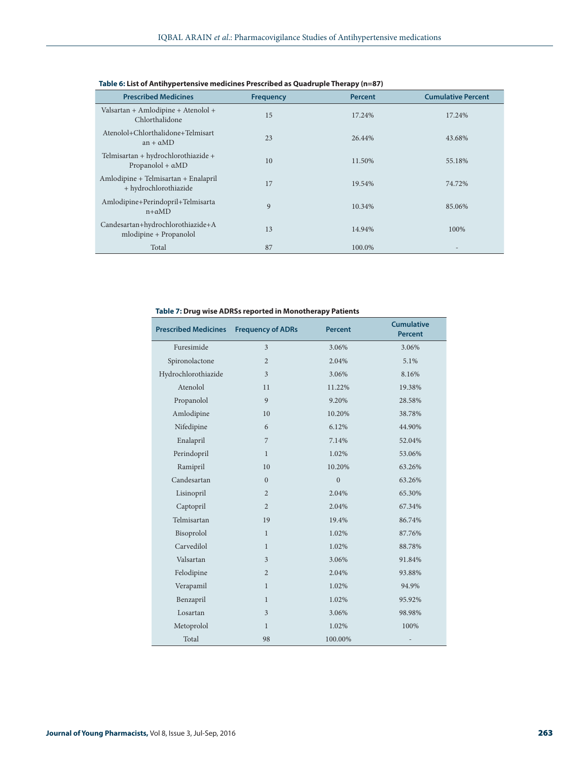| <b>Prescribed Medicines</b>                                     | <b>Frequency</b> | <b>Percent</b> | <b>Cumulative Percent</b> |
|-----------------------------------------------------------------|------------------|----------------|---------------------------|
| Valsartan + Amlodipine + Atenolol +<br>Chlorthalidone           | 15               | 17.24%         | 17.24%                    |
| Atenolol+Chlorthalidone+Telmisart<br>$an + \alpha MD$           | 23               | 26.44%         | 43.68%                    |
| Telmisartan + hydrochlorothiazide +<br>Propanolol + $\alpha$ MD | 10               | 11.50%         | 55.18%                    |
| Amlodipine + Telmisartan + Enalapril<br>+ hydrochlorothiazide   | 17               | 19.54%         | 74.72%                    |
| Amlodipine+Perindopril+Telmisarta<br>$n+aMD$                    | 9                | 10.34%         | 85.06%                    |
| Candesartan+hydrochlorothiazide+A<br>$m$ lodipine + Propanolol  | 13               | 14.94%         | 100%                      |
| Total                                                           | 87               | 100.0%         |                           |

### **Table 6: List of Antihypertensive medicines Prescribed as Quadruple Therapy (n=87)**

### **Table 7: Drug wise ADRSs reported in Monotherapy Patients**

| <b>Prescribed Medicines</b> | <b>Frequency of ADRs</b> | <b>Percent</b> | <b>Cumulative</b><br><b>Percent</b> |
|-----------------------------|--------------------------|----------------|-------------------------------------|
| Furesimide                  | $\overline{3}$           | 3.06%          | 3.06%                               |
| Spironolactone              | $\overline{c}$           | 2.04%          | 5.1%                                |
| Hydrochlorothiazide         | 3                        | 3.06%          | 8.16%                               |
| Atenolol                    | 11                       | 11.22%         | 19.38%                              |
| Propanolol                  | 9                        | 9.20%          | 28.58%                              |
| Amlodipine                  | 10                       | 10.20%         | 38.78%                              |
| Nifedipine                  | 6                        | 6.12%          | 44.90%                              |
| Enalapril                   | $\overline{7}$           | 7.14%          | 52.04%                              |
| Perindopril                 | $\mathbf{1}$             | 1.02%          | 53.06%                              |
| Ramipril                    | 10                       | 10.20%         | 63.26%                              |
| Candesartan                 | $\Omega$                 | $\theta$       | 63.26%                              |
| Lisinopril                  | $\overline{2}$           | 2.04%          | 65.30%                              |
| Captopril                   | $\overline{2}$           | 2.04%          | 67.34%                              |
| Telmisartan                 | 19                       | 19.4%          | 86.74%                              |
| Bisoprolol                  | $\mathbf{1}$             | 1.02%          | 87.76%                              |
| Carvedilol                  | $\mathbf{1}$             | 1.02%          | 88.78%                              |
| Valsartan                   | $\overline{3}$           | 3.06%          | 91.84%                              |
| Felodipine                  | $\overline{2}$           | 2.04%          | 93.88%                              |
| Verapamil                   | $\mathbf{1}$             | 1.02%          | 94.9%                               |
| Benzapril                   | $\mathbf{1}$             | 1.02%          | 95.92%                              |
| Losartan                    | $\overline{3}$           | 3.06%          | 98.98%                              |
| Metoprolol                  | $\mathbf{1}$             | 1.02%          | 100%                                |
| Total                       | 98                       | 100.00%        |                                     |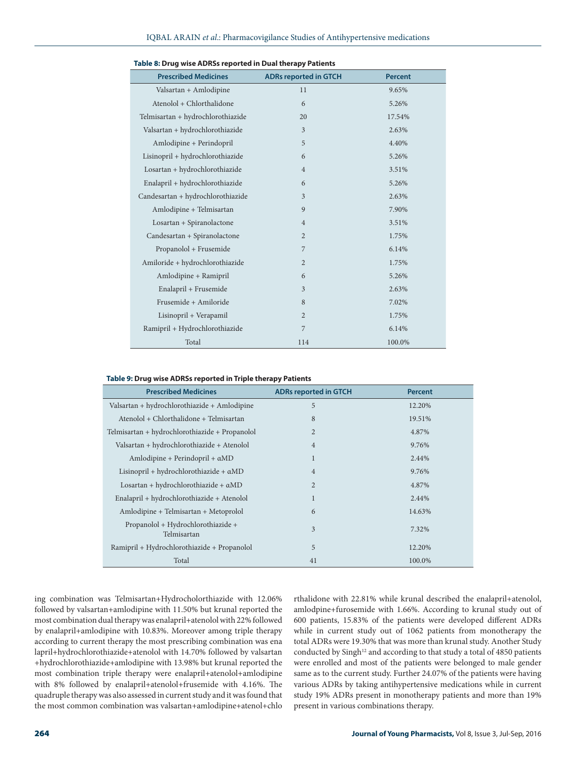| <b>Prescribed Medicines</b>       | <b>ADRs reported in GTCH</b> | <b>Percent</b> |
|-----------------------------------|------------------------------|----------------|
| Valsartan + Amlodipine            | 11                           | 9.65%          |
| Atenolol + Chlorthalidone         | 6                            | 5.26%          |
| Telmisartan + hydrochlorothiazide | 20                           | 17.54%         |
| Valsartan + hydrochlorothiazide   | 3                            | 2.63%          |
| Amlodipine + Perindopril          | 5                            | 4.40%          |
| Lisinopril + hydrochlorothiazide  | 6                            | 5.26%          |
| Losartan + hydrochlorothiazide    | $\overline{4}$               | 3.51%          |
| Enalapril + hydrochlorothiazide   | 6                            | 5.26%          |
| Candesartan + hydrochlorothiazide | 3                            | 2.63%          |
| Amlodipine + Telmisartan          | 9                            | 7.90%          |
| Losartan + Spiranolactone         | $\overline{4}$               | 3.51%          |
| Candesartan + Spiranolactone      | $\overline{2}$               | 1.75%          |
| Propanolol + Frusemide            | 7                            | 6.14%          |
| Amiloride + hydrochlorothiazide   | $\overline{2}$               | 1.75%          |
| Amlodipine + Ramipril             | 6                            | 5.26%          |
| Enalapril + Frusemide             | 3                            | 2.63%          |
| Frusemide + Amiloride             | 8                            | 7.02%          |
| Lisinopril + Verapamil            | $\overline{2}$               | 1.75%          |
| Ramipril + Hydrochlorothiazide    | 7                            | 6.14%          |
| Total                             | 114                          | 100.0%         |

| Table 8: Drug wise ADRSs reported in Dual therapy Patients |  |  |  |  |  |
|------------------------------------------------------------|--|--|--|--|--|
|------------------------------------------------------------|--|--|--|--|--|

#### **Table 9: Drug wise ADRSs reported in Triple therapy Patients**

| <b>Prescribed Medicines</b>                       | <b>ADRs reported in GTCH</b> | <b>Percent</b> |
|---------------------------------------------------|------------------------------|----------------|
| Valsartan + hydrochlorothiazide + Amlodipine      | 5                            | 12.20%         |
| Atenolol + Chlorthalidone + Telmisartan           | 8                            | 19.51%         |
| Telmisartan + hydrochlorothiazide + Propanolol    | $\overline{2}$               | 4.87%          |
| Valsartan + hydrochlorothiazide + Atenolol        | $\overline{4}$               | 9.76%          |
| Amlodipine + Perindopril + $\alpha$ MD            | $\mathbf{1}$                 | 2.44%          |
| Lisinopril + hydrochlorothiazide + $\alpha$ MD    | $\overline{4}$               | 9.76%          |
| $Losartan + hydrochlorothiazide + \alphaMD$       | $\overline{2}$               | 4.87%          |
| Enalapril + hydrochlorothiazide + Atenolol        | $\mathbf{1}$                 | 2.44%          |
| Amlodipine + Telmisartan + Metoprolol             | 6                            | 14.63%         |
| Propanolol + Hydrochlorothiazide +<br>Telmisartan | 3                            | 7.32%          |
| Ramipril + Hydrochlorothiazide + Propanolol       | 5                            | 12.20%         |
| Total                                             | 41                           | 100.0%         |

ing combination was Telmisartan+Hydrocholorthiazide with 12.06% followed by valsartan+amlodipine with 11.50% but krunal reported the most combination dual therapy was enalapril+atenolol with 22% followed by enalapril+amlodipine with 10.83%. Moreover among triple therapy according to current therapy the most prescribing combination was ena lapril+hydrochlorothiazide+atenolol with 14.70% followed by valsartan +hydrochlorothiazide+amlodipine with 13.98% but krunal reported the most combination triple therapy were enalapril+atenolol+amlodipine with 8% followed by enalapril+atenolol+frusemide with 4.16%. The quadruple therapy was also assessed in current study and it was found that the most common combination was valsartan+amlodipine+atenol+chlo

rthalidone with 22.81% while krunal described the enalapril+atenolol, amlodpine+furosemide with 1.66%. According to krunal study out of 600 patients, 15.83% of the patients were developed different ADRs while in current study out of 1062 patients from monotherapy the total ADRs were 19.30% that was more than krunal study. Another Study conducted by Singh<sup>12</sup> and according to that study a total of 4850 patients were enrolled and most of the patients were belonged to male gender same as to the current study. Further 24.07% of the patients were having various ADRs by taking antihypertensive medications while in current study 19% ADRs present in monotherapy patients and more than 19% present in various combinations therapy.